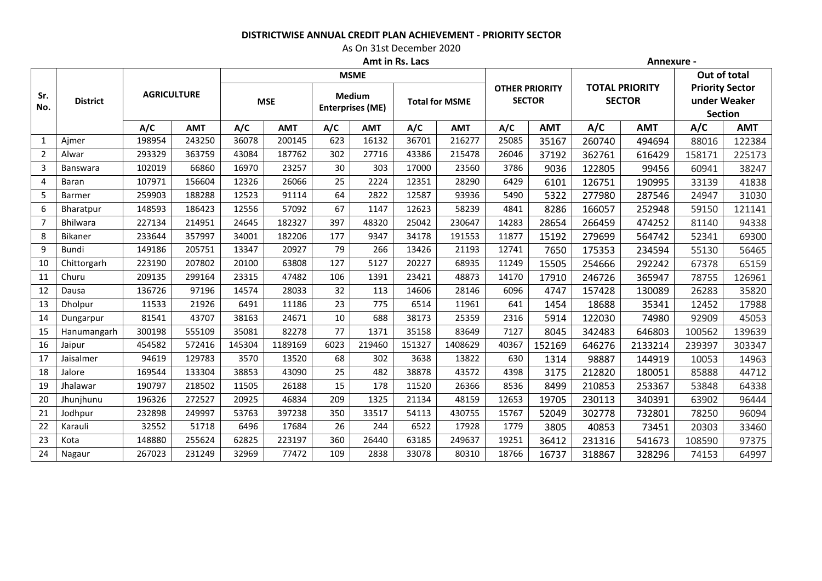## **DISTRICTWISE ANNUAL CREDIT PLAN ACHIEVEMENT - PRIORITY SECTOR**

## As On 31st December 2020

|                | Amt in Rs. Lacs |                    |        |            |         |                                   |             |                       |         | Annexure -                             |        |                                        |         |                                                          |        |              |            |        |            |       |            |     |            |       |            |       |            |        |            |
|----------------|-----------------|--------------------|--------|------------|---------|-----------------------------------|-------------|-----------------------|---------|----------------------------------------|--------|----------------------------------------|---------|----------------------------------------------------------|--------|--------------|------------|--------|------------|-------|------------|-----|------------|-------|------------|-------|------------|--------|------------|
|                | <b>District</b> | <b>AGRICULTURE</b> |        |            |         |                                   | <b>MSME</b> |                       |         |                                        |        |                                        |         | Out of total                                             |        |              |            |        |            |       |            |     |            |       |            |       |            |        |            |
| Sr.<br>No.     |                 |                    |        | <b>MSE</b> |         | Medium<br><b>Enterprises (ME)</b> |             | <b>Total for MSME</b> |         | <b>OTHER PRIORITY</b><br><b>SECTOR</b> |        | <b>TOTAL PRIORITY</b><br><b>SECTOR</b> |         | <b>Priority Sector</b><br>under Weaker<br><b>Section</b> |        |              |            |        |            |       |            |     |            |       |            |       |            |        |            |
|                |                 |                    |        |            |         |                                   |             |                       |         |                                        |        |                                        |         |                                                          |        | A/C          | <b>AMT</b> | A/C    | <b>AMT</b> | A/C   | <b>AMT</b> | A/C | <b>AMT</b> | A/C   | <b>AMT</b> | A/C   | <b>AMT</b> | A/C    | <b>AMT</b> |
|                |                 |                    |        |            |         |                                   |             |                       |         |                                        |        |                                        |         |                                                          |        | $\mathbf{1}$ | Ajmer      | 198954 | 243250     | 36078 | 200145     | 623 | 16132      | 36701 | 216277     | 25085 | 35167      | 260740 | 494694     |
|                |                 | 2                  | Alwar  | 293329     | 363759  | 43084                             | 187762      | 302                   | 27716   | 43386                                  | 215478 | 26046                                  | 37192   | 362761                                                   | 616429 | 158171       | 225173     |        |            |       |            |     |            |       |            |       |            |        |            |
| 3              | Banswara        | 102019             | 66860  | 16970      | 23257   | 30                                | 303         | 17000                 | 23560   | 3786                                   | 9036   | 122805                                 | 99456   | 60941                                                    | 38247  |              |            |        |            |       |            |     |            |       |            |       |            |        |            |
| 4              | Baran           | 107971             | 156604 | 12326      | 26066   | 25                                | 2224        | 12351                 | 28290   | 6429                                   | 6101   | 126751                                 | 190995  | 33139                                                    | 41838  |              |            |        |            |       |            |     |            |       |            |       |            |        |            |
| 5              | Barmer          | 259903             | 188288 | 12523      | 91114   | 64                                | 2822        | 12587                 | 93936   | 5490                                   | 5322   | 277980                                 | 287546  | 24947                                                    | 31030  |              |            |        |            |       |            |     |            |       |            |       |            |        |            |
| 6              | Bharatpur       | 148593             | 186423 | 12556      | 57092   | 67                                | 1147        | 12623                 | 58239   | 4841                                   | 8286   | 166057                                 | 252948  | 59150                                                    | 121141 |              |            |        |            |       |            |     |            |       |            |       |            |        |            |
| $\overline{7}$ | Bhilwara        | 227134             | 214951 | 24645      | 182327  | 397                               | 48320       | 25042                 | 230647  | 14283                                  | 28654  | 266459                                 | 474252  | 81140                                                    | 94338  |              |            |        |            |       |            |     |            |       |            |       |            |        |            |
| 8              | Bikaner         | 233644             | 357997 | 34001      | 182206  | 177                               | 9347        | 34178                 | 191553  | 11877                                  | 15192  | 279699                                 | 564742  | 52341                                                    | 69300  |              |            |        |            |       |            |     |            |       |            |       |            |        |            |
| 9              | <b>Bundi</b>    | 149186             | 205751 | 13347      | 20927   | 79                                | 266         | 13426                 | 21193   | 12741                                  | 7650   | 175353                                 | 234594  | 55130                                                    | 56465  |              |            |        |            |       |            |     |            |       |            |       |            |        |            |
| 10             | Chittorgarh     | 223190             | 207802 | 20100      | 63808   | 127                               | 5127        | 20227                 | 68935   | 11249                                  | 15505  | 254666                                 | 292242  | 67378                                                    | 65159  |              |            |        |            |       |            |     |            |       |            |       |            |        |            |
| 11             | Churu           | 209135             | 299164 | 23315      | 47482   | 106                               | 1391        | 23421                 | 48873   | 14170                                  | 17910  | 246726                                 | 365947  | 78755                                                    | 126961 |              |            |        |            |       |            |     |            |       |            |       |            |        |            |
| 12             | Dausa           | 136726             | 97196  | 14574      | 28033   | 32                                | 113         | 14606                 | 28146   | 6096                                   | 4747   | 157428                                 | 130089  | 26283                                                    | 35820  |              |            |        |            |       |            |     |            |       |            |       |            |        |            |
| 13             | <b>Dholpur</b>  | 11533              | 21926  | 6491       | 11186   | 23                                | 775         | 6514                  | 11961   | 641                                    | 1454   | 18688                                  | 35341   | 12452                                                    | 17988  |              |            |        |            |       |            |     |            |       |            |       |            |        |            |
| 14             | Dungarpur       | 81541              | 43707  | 38163      | 24671   | 10                                | 688         | 38173                 | 25359   | 2316                                   | 5914   | 122030                                 | 74980   | 92909                                                    | 45053  |              |            |        |            |       |            |     |            |       |            |       |            |        |            |
| 15             | Hanumangarh     | 300198             | 555109 | 35081      | 82278   | 77                                | 1371        | 35158                 | 83649   | 7127                                   | 8045   | 342483                                 | 646803  | 100562                                                   | 139639 |              |            |        |            |       |            |     |            |       |            |       |            |        |            |
| 16             | Jaipur          | 454582             | 572416 | 145304     | 1189169 | 6023                              | 219460      | 151327                | 1408629 | 40367                                  | 152169 | 646276                                 | 2133214 | 239397                                                   | 303347 |              |            |        |            |       |            |     |            |       |            |       |            |        |            |
| 17             | Jaisalmer       | 94619              | 129783 | 3570       | 13520   | 68                                | 302         | 3638                  | 13822   | 630                                    | 1314   | 98887                                  | 144919  | 10053                                                    | 14963  |              |            |        |            |       |            |     |            |       |            |       |            |        |            |
| 18             | Jalore          | 169544             | 133304 | 38853      | 43090   | 25                                | 482         | 38878                 | 43572   | 4398                                   | 3175   | 212820                                 | 180051  | 85888                                                    | 44712  |              |            |        |            |       |            |     |            |       |            |       |            |        |            |
| 19             | Jhalawar        | 190797             | 218502 | 11505      | 26188   | 15                                | 178         | 11520                 | 26366   | 8536                                   | 8499   | 210853                                 | 253367  | 53848                                                    | 64338  |              |            |        |            |       |            |     |            |       |            |       |            |        |            |
| 20             | Jhunjhunu       | 196326             | 272527 | 20925      | 46834   | 209                               | 1325        | 21134                 | 48159   | 12653                                  | 19705  | 230113                                 | 340391  | 63902                                                    | 96444  |              |            |        |            |       |            |     |            |       |            |       |            |        |            |
| 21             | Jodhpur         | 232898             | 249997 | 53763      | 397238  | 350                               | 33517       | 54113                 | 430755  | 15767                                  | 52049  | 302778                                 | 732801  | 78250                                                    | 96094  |              |            |        |            |       |            |     |            |       |            |       |            |        |            |
| 22             | Karauli         | 32552              | 51718  | 6496       | 17684   | 26                                | 244         | 6522                  | 17928   | 1779                                   | 3805   | 40853                                  | 73451   | 20303                                                    | 33460  |              |            |        |            |       |            |     |            |       |            |       |            |        |            |
| 23             | Kota            | 148880             | 255624 | 62825      | 223197  | 360                               | 26440       | 63185                 | 249637  | 19251                                  | 36412  | 231316                                 | 541673  | 108590                                                   | 97375  |              |            |        |            |       |            |     |            |       |            |       |            |        |            |
| 24             | Nagaur          | 267023             | 231249 | 32969      | 77472   | 109                               | 2838        | 33078                 | 80310   | 18766                                  | 16737  | 318867                                 | 328296  | 74153                                                    | 64997  |              |            |        |            |       |            |     |            |       |            |       |            |        |            |